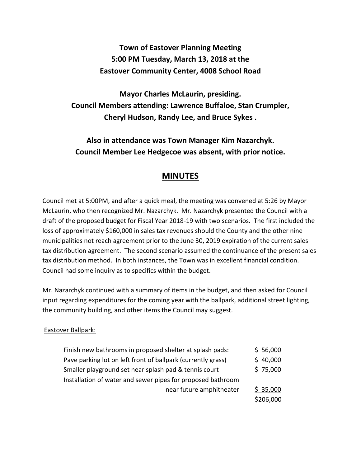# **Town of Eastover Planning Meeting 5:00 PM Tuesday, March 13, 2018 at the Eastover Community Center, 4008 School Road**

**Mayor Charles McLaurin, presiding. Council Members attending: Lawrence Buffaloe, Stan Crumpler, Cheryl Hudson, Randy Lee, and Bruce Sykes .** 

**Also in attendance was Town Manager Kim Nazarchyk. Council Member Lee Hedgecoe was absent, with prior notice.** 

# **MINUTES**

Council met at 5:00PM, and after a quick meal, the meeting was convened at 5:26 by Mayor McLaurin, who then recognized Mr. Nazarchyk. Mr. Nazarchyk presented the Council with a draft of the proposed budget for Fiscal Year 2018-19 with two scenarios. The first included the loss of approximately \$160,000 in sales tax revenues should the County and the other nine municipalities not reach agreement prior to the June 30, 2019 expiration of the current sales tax distribution agreement. The second scenario assumed the continuance of the present sales tax distribution method. In both instances, the Town was in excellent financial condition. Council had some inquiry as to specifics within the budget.

Mr. Nazarchyk continued with a summary of items in the budget, and then asked for Council input regarding expenditures for the coming year with the ballpark, additional street lighting, the community building, and other items the Council may suggest.

## Eastover Ballpark:

| Finish new bathrooms in proposed shelter at splash pads:     | \$56,000  |
|--------------------------------------------------------------|-----------|
| Pave parking lot on left front of ballpark (currently grass) | \$40,000  |
| Smaller playground set near splash pad & tennis court        | \$75,000  |
| Installation of water and sewer pipes for proposed bathroom  |           |
| near future amphitheater                                     | \$35,000  |
|                                                              | \$206,000 |